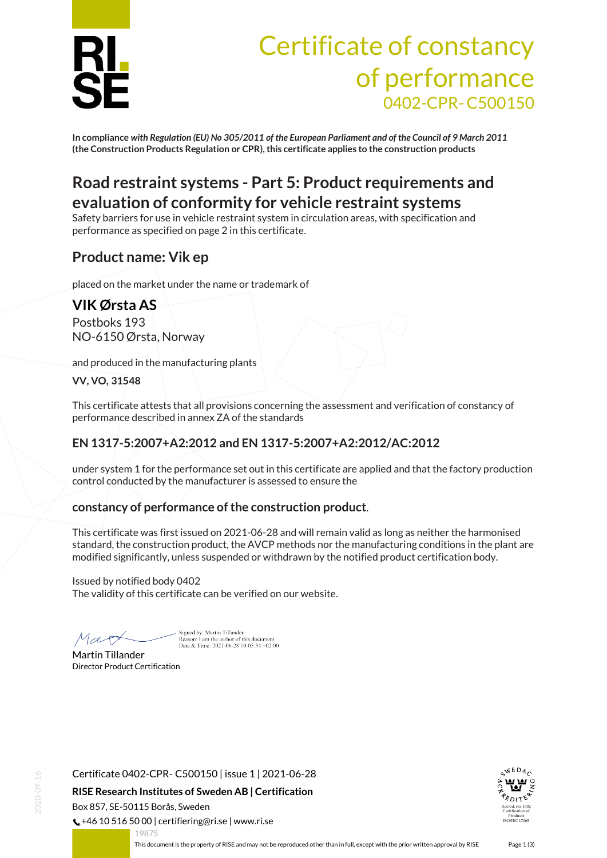

# Certificate of constancy of performance 0402-CPR-C500150

**In compliance** *with Regulation (EU) No 305/2011 of the European Parliament and of the Council of 9 March 2011* **(the Construction Products Regulation or CPR), this certificate applies to the construction products**

### **Road restraint systems - Part 5: Product requirements and evaluation of conformity for vehicle restraint systems**

Safety barriers for use in vehicle restraint system in circulation areas, with specification and performance as specified on page 2 in this certificate.

### **Product name: Vik ep**

placed on the market under the name or trademark of

## **VIK Ørsta AS**

Postboks 193 NO-6150 Ørsta, Norway

and produced in the manufacturing plants

**VV, VO, 31548**

This certificate attests that all provisions concerning the assessment and verification of constancy of performance described in annex ZA of the standards

#### **EN 1317-5:2007+A2:2012 and EN 1317-5:2007+A2:2012/AC:2012**

under system 1 for the performance set out in this certificate are applied and that the factory production control conducted by the manufacturer is assessed to ensure the

#### **constancy of performance of the construction product**.

This certificate was first issued on 2021-06-28 and will remain valid as long as neither the harmonised standard, the construction product, the AVCP methods nor the manufacturing conditions in the plant are modified significantly, unless suspended or withdrawn by the notified product certification body.

Issued by notified body 0402 The validity of this certificate can be verified on our website.

Mar

Signed by: Martin Tillander Reason: I am the author of this document<br>Date & Time: 2021-06-28 10:05:34 +02:00

Martin Tillander Director Product Certification



 $\binom{1}{2}$  +46 10 516 50 00 | certifiering@ri.se | www.ri.se



<span id="page-0-0"></span>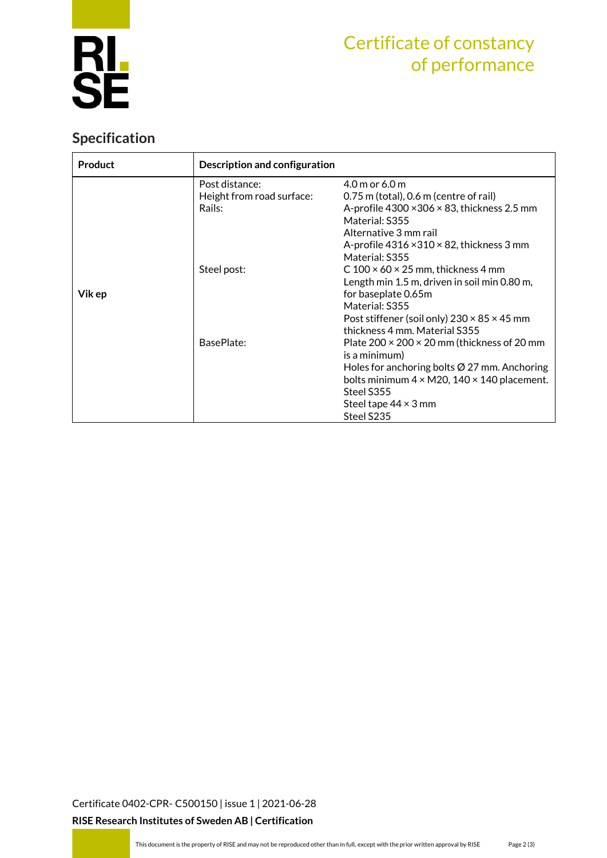

## Certificate of constancy of performance

### **Specification**

| <b>Product</b> | Description and configuration |                                                            |  |  |
|----------------|-------------------------------|------------------------------------------------------------|--|--|
|                | Post distance:                | $4.0$ m or 6.0 m                                           |  |  |
| Vik ep         | Height from road surface:     | $0.75$ m (total), 0.6 m (centre of rail)                   |  |  |
|                | Rails:                        | A-profile $4300 \times 306 \times 83$ , thickness 2.5 mm   |  |  |
|                |                               | Material: S355                                             |  |  |
|                |                               | Alternative 3 mm rail                                      |  |  |
|                |                               | A-profile $4316 \times 310 \times 82$ , thickness 3 mm     |  |  |
|                |                               | Material: S355                                             |  |  |
|                | Steel post:                   | C 100 $\times$ 60 $\times$ 25 mm, thickness 4 mm           |  |  |
|                |                               | Length min 1.5 m, driven in soil min 0.80 m,               |  |  |
|                |                               | for baseplate 0.65m                                        |  |  |
|                |                               | Material: S355                                             |  |  |
|                |                               | Post stiffener (soil only) $230 \times 85 \times 45$ mm    |  |  |
|                |                               | thickness 4 mm. Material S355                              |  |  |
|                | BasePlate:                    | Plate $200 \times 200 \times 20$ mm (thickness of 20 mm    |  |  |
|                |                               | is a minimum)                                              |  |  |
|                |                               | Holes for anchoring bolts $\varnothing$ 27 mm. Anchoring   |  |  |
|                |                               | bolts minimum $4 \times M20$ , $140 \times 140$ placement. |  |  |
|                |                               | Steel S355                                                 |  |  |
|                |                               | Steel tape $44 \times 3$ mm                                |  |  |
|                |                               | Steel S235                                                 |  |  |

[Certificate 0402-CPR-](#page-0-0) C500150 | issue 1 | 2021-06-28 **RISE Research Institutes of Sweden AB | Certification**